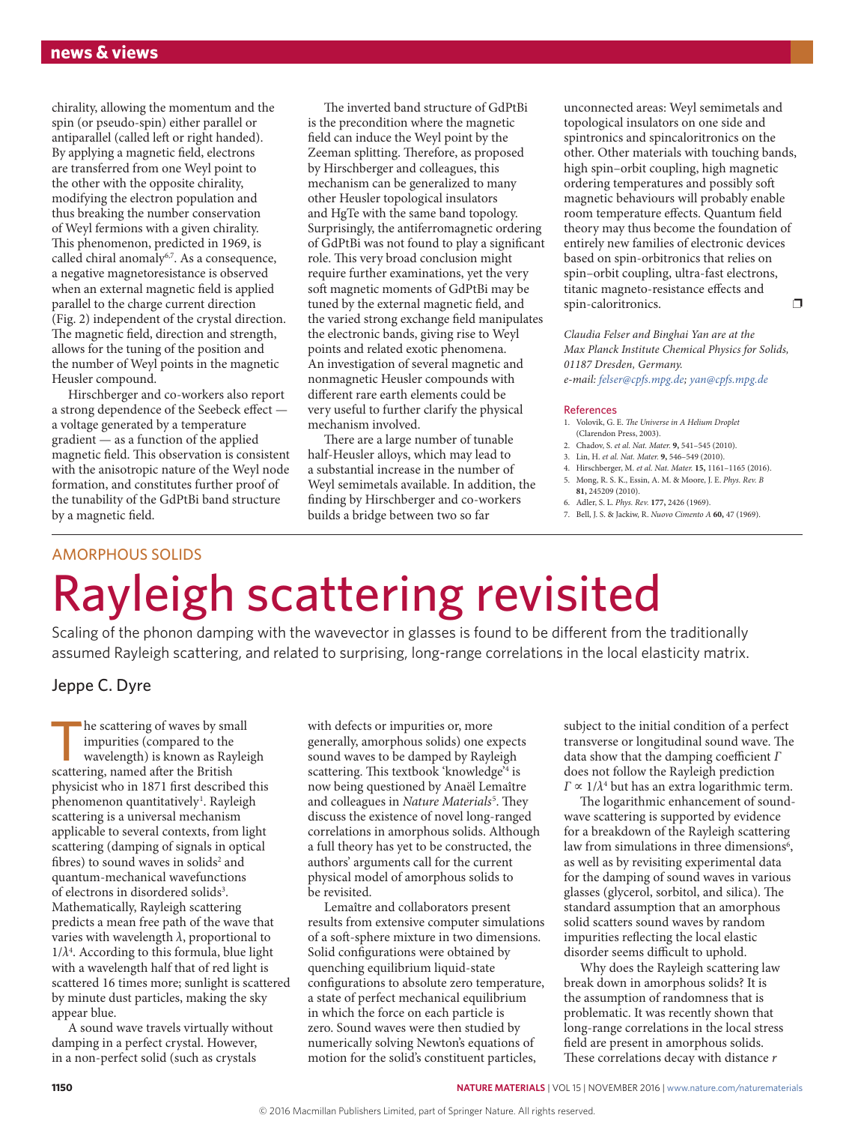chirality, allowing the momentum and the spin (or pseudo-spin) either parallel or antiparallel (called left or right handed). By applying a magnetic field, electrons are transferred from one Weyl point to the other with the opposite chirality, modifying the electron population and thus breaking the number conservation of Weyl fermions with a given chirality. This phenomenon, predicted in 1969, is called chiral anomaly<sup>6,7</sup>. As a consequence, a negative magnetoresistance is observed when an external magnetic field is applied parallel to the charge current direction (Fig. 2) independent of the crystal direction. The magnetic field, direction and strength, allows for the tuning of the position and the number of Weyl points in the magnetic Heusler compound.

Hirschberger and co-workers also report a strong dependence of the Seebeck effect a voltage generated by a temperature gradient — as a function of the applied magnetic field. This observation is consistent with the anisotropic nature of the Weyl node formation, and constitutes further proof of the tunability of the GdPtBi band structure by a magnetic field.

The inverted band structure of GdPtBi is the precondition where the magnetic field can induce the Weyl point by the Zeeman splitting. Therefore, as proposed by Hirschberger and colleagues, this mechanism can be generalized to many other Heusler topological insulators and HgTe with the same band topology. Surprisingly, the antiferromagnetic ordering of GdPtBi was not found to play a significant role. This very broad conclusion might require further examinations, yet the very soft magnetic moments of GdPtBi may be tuned by the external magnetic field, and the varied strong exchange field manipulates the electronic bands, giving rise to Weyl points and related exotic phenomena. An investigation of several magnetic and nonmagnetic Heusler compounds with different rare earth elements could be very useful to further clarify the physical mechanism involved.

There are a large number of tunable half-Heusler alloys, which may lead to a substantial increase in the number of Weyl semimetals available. In addition, the finding by Hirschberger and co-workers builds a bridge between two so far

unconnected areas: Weyl semimetals and topological insulators on one side and spintronics and spincaloritronics on the other. Other materials with touching bands, high spin–orbit coupling, high magnetic ordering temperatures and possibly soft magnetic behaviours will probably enable room temperature effects. Quantum field theory may thus become the foundation of entirely new families of electronic devices based on spin-orbitronics that relies on spin–orbit coupling, ultra-fast electrons, titanic magneto-resistance effects and spin-caloritronics.

*Claudia Felser and Binghai Yan are at the Max Planck Institute Chemical Physics for Solids, 01187 Dresden, Germany. e-mail: [felser@cpfs.mpg.de;](mailto:felser@cpfs.mpg.de) [yan@cpfs.mpg.de](mailto:yan@cpfs.mpg.de)*

#### References

- 1. Volovik, G. E. *The Universe in A Helium Droplet* (Clarendon Press, 2003).
- 2. Chadov, S. *et al. Nat. Mater.* **9,** 541–545 (2010).
- 3. Lin, H. *et al. Nat. Mater.* **9,** 546–549 (2010).
- 4. Hirschberger, M. *et al. Nat. Mater.* **15,** 1161–1165 (2016). 5. Mong, R. S. K., Essin, A. M. & Moore, J. E. *Phys. Rev. B*
- **81,** 245209 (2010). 6. Adler, S. L. *Phys. Rev.* **177,** 2426 (1969).
- 7. Bell, J. S. & Jackiw, R. *Nuovo Cimento A* **60,** 47 (1969).

### AMORPHOUS SOLIDS

# Rayleigh scattering revisited

Scaling of the phonon damping with the wavevector in glasses is found to be different from the traditionally assumed Rayleigh scattering, and related to surprising, long-range correlations in the local elasticity matrix.

#### Jeppe C. Dyre

he scattering of waves by small impurities (compared to the wavelength) is known as Rayleigh scattering, named after the British physicist who in 1871 first described this phenomenon quantitatively<sup>1</sup>. Rayleigh scattering is a universal mechanism applicable to several contexts, from light scattering (damping of signals in optical fibres) to sound waves in solids<sup>2</sup> and quantum-mechanical wavefunctions of electrons in disordered solids<sup>3</sup>. Mathematically, Rayleigh scattering predicts a mean free path of the wave that varies with wavelength *λ*, proportional to  $1/\lambda^4$ . According to this formula, blue light with a wavelength half that of red light is scattered 16 times more; sunlight is scattered by minute dust particles, making the sky appear blue.

A sound wave travels virtually without damping in a perfect crystal. However, in a non-perfect solid (such as crystals

with defects or impurities or, more generally, amorphous solids) one expects sound waves to be damped by Rayleigh scattering. This textbook 'knowledge'4 is now being questioned by Anaël Lemaître and colleagues in *Nature Materials*<sup>5</sup> . They discuss the existence of novel long-ranged correlations in amorphous solids. Although a full theory has yet to be constructed, the authors' arguments call for the current physical model of amorphous solids to be revisited.

Lemaître and collaborators present results from extensive computer simulations of a soft-sphere mixture in two dimensions. Solid configurations were obtained by quenching equilibrium liquid-state configurations to absolute zero temperature, a state of perfect mechanical equilibrium in which the force on each particle is zero. Sound waves were then studied by numerically solving Newton's equations of motion for the solid's constituent particles,

subject to the initial condition of a perfect transverse or longitudinal sound wave. The data show that the damping coefficient *Γ* does not follow the Rayleigh prediction *Γ* ∝ 1/*λ*<sup>4</sup> but has an extra logarithmic term.

The logarithmic enhancement of soundwave scattering is supported by evidence for a breakdown of the Rayleigh scattering law from simulations in three dimensions<sup>6</sup>, as well as by revisiting experimental data for the damping of sound waves in various glasses (glycerol, sorbitol, and silica). The standard assumption that an amorphous solid scatters sound waves by random impurities reflecting the local elastic disorder seems difficult to uphold.

Why does the Rayleigh scattering law break down in amorphous solids? It is the assumption of randomness that is problematic. It was recently shown that long-range correlations in the local stress field are present in amorphous solids. These correlations decay with distance *r*